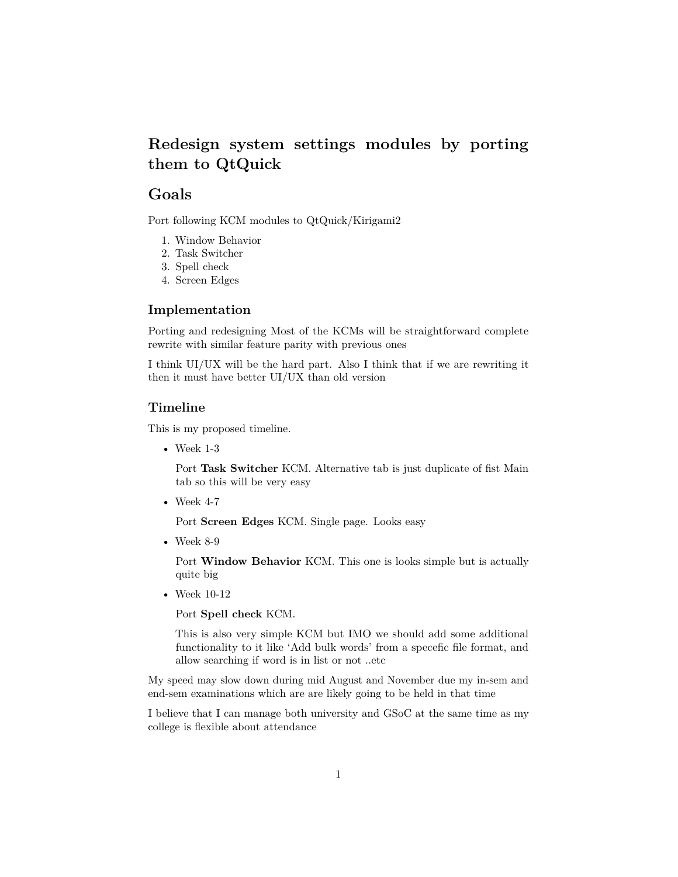# **Redesign system settings modules by porting them to QtQuick**

## **Goals**

Port following KCM modules to QtQuick/Kirigami2

- 1. Window Behavior
- 2. Task Switcher
- 3. Spell check
- 4. Screen Edges

### **Implementation**

Porting and redesigning Most of the KCMs will be straightforward complete rewrite with similar feature parity with previous ones

I think UI/UX will be the hard part. Also I think that if we are rewriting it then it must have better UI/UX than old version

### **Timeline**

This is my proposed timeline.

• Week 1-3

Port **Task Switcher** KCM. Alternative tab is just duplicate of fist Main tab so this will be very easy

• Week 4-7

Port **Screen Edges** KCM. Single page. Looks easy

• Week 8-9

Port **Window Behavior** KCM. This one is looks simple but is actually quite big

• Week 10-12

Port **Spell check** KCM.

This is also very simple KCM but IMO we should add some additional functionality to it like 'Add bulk words' from a specefic file format, and allow searching if word is in list or not ..etc

My speed may slow down during mid August and November due my in-sem and end-sem examinations which are are likely going to be held in that time

I believe that I can manage both university and GSoC at the same time as my college is flexible about attendance